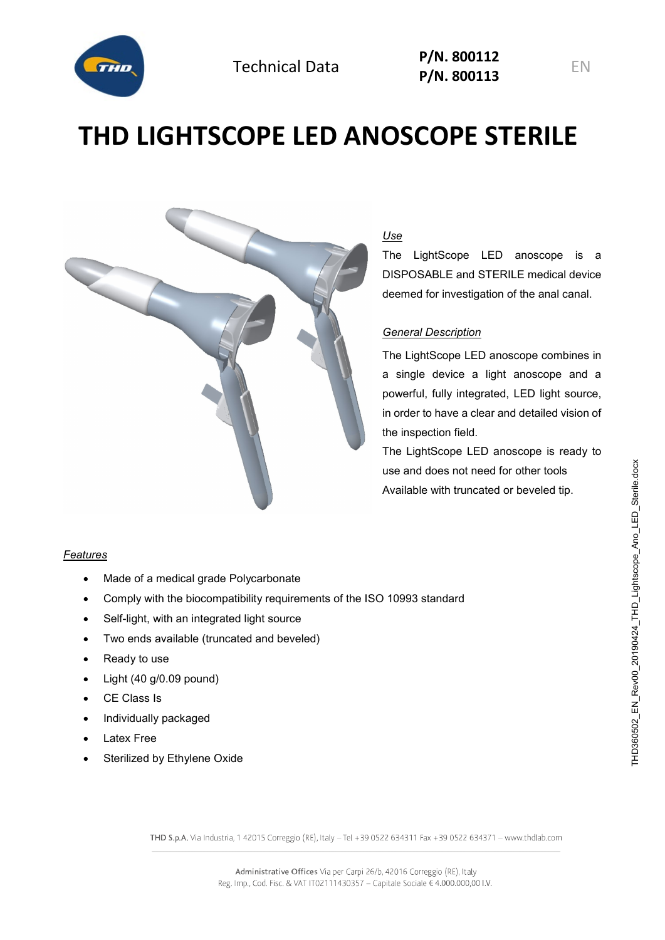

# **THD LIGHTSCOPE LED ANOSCOPE STERILE**



# *Use*

The LightScope LED anoscope is a DISPOSABLE and STERILE medical device deemed for investigation of the anal canal.

## *General Description*

The LightScope LED anoscope combines in a single device a light anoscope and a powerful, fully integrated, LED light source, in order to have a clear and detailed vision of the inspection field.

The LightScope LED anoscope is ready to use and does not need for other tools Available with truncated or beveled tip.

#### *Features*

- Made of a medical grade Polycarbonate
- Comply with the biocompatibility requirements of the ISO 10993 standard
- Self-light, with an integrated light source
- Two ends available (truncated and beveled)
- Ready to use
- Light (40 g/0.09 pound)
- CE Class Is
- Individually packaged
- Latex Free
- Sterilized by Ethylene Oxide

THD S.p.A. Via Industria, 1 42015 Correggio (RE), Italy -Tel +39 0522 634311 Fax +39 0522 634371 - www.thdlab.com